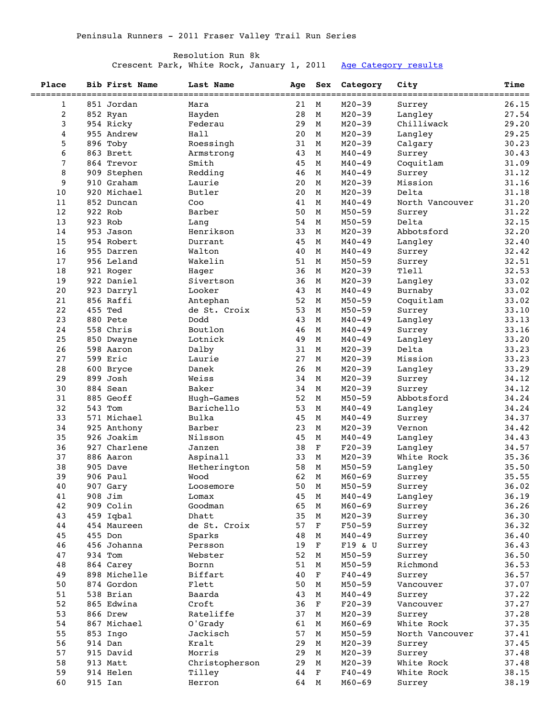## Resolution Run 8k

Crescent Park, White Rock, January 1, 2011 [Age Category results](http://www.peninsularunners.com/events/2011/resolution8ka.htm)

| Place        | <b>Bib First Name</b> | Last Name      | Age  | Sex | Category   | City            | <b>Time</b> |
|--------------|-----------------------|----------------|------|-----|------------|-----------------|-------------|
| $\mathbf{1}$ | 851 Jordan            | Mara           | 21   | М   | $M20 - 39$ | Surrey          | 26.15       |
| 2            | 852 Ryan              | Hayden         | 28   | М   | $M20 - 39$ | Langley         | 27.54       |
| 3            | 954 Ricky             | Federau        | 29   | М   | $M20 - 39$ | Chilliwack      | 29.20       |
| 4            | 955 Andrew            | Hall           | 20   | М   | $M20 - 39$ | Langley         | 29.25       |
| 5            | 896 Toby              | Roessingh      | 31   | M   | $M20 - 39$ | Calgary         | 30.23       |
| 6            | 863 Brett             | Armstrong      | 43   | M   | $M40 - 49$ | Surrey          | 30.43       |
| 7            | 864 Trevor            | Smith          | 45   | М   | $M40 - 49$ | Coquitlam       | 31.09       |
| 8            | 909 Stephen           | Redding        | 46   | М   | $M40 - 49$ | Surrey          | 31.12       |
| 9            | 910 Graham            | Laurie         | 20   | M   | $M20 - 39$ | Mission         | 31.16       |
| 10           | 920 Michael           | Butler         | 20   | M   | $M20 - 39$ | Delta           | 31.18       |
| 11           | 852 Duncan            | Coo            | 41   | M   | $M40 - 49$ | North Vancouver | 31.20       |
| 12           | 922 Rob               | Barber         | 50   | М   | $M50 - 59$ |                 |             |
| 13           | 923 Rob               |                | 54   | М   | $M50 - 59$ | Surrey<br>Delta | 31.22       |
|              |                       | Lang           |      |     |            |                 | 32.15       |
| 14           | 953 Jason             | Henrikson      | 33   | M   | $M20 - 39$ | Abbotsford      | 32.20       |
| 15           | 954 Robert            | Durrant        | 45   | M   | $M40 - 49$ | Langley         | 32.40       |
| 16           | 955 Darren            | Walton         | 40   | M   | $M40 - 49$ | Surrey          | 32.42       |
| 17           | 956 Leland            | Wakelin        | 51   | М   | $M50 - 59$ | Surrey          | 32.51       |
| 18           | 921 Roger             | Hager          | 36   | М   | $M20 - 39$ | Tlell           | 32.53       |
| 19           | 922 Daniel            | Sivertson      | 36   | M   | $M20 - 39$ | Langley         | 33.02       |
| 20           | 923 Darryl            | Looker         | 43   | M   | $M40 - 49$ | Burnaby         | 33.02       |
| 21           | 856 Raffi             | Antephan       | 52   | М   | $M50 - 59$ | Coquitlam       | 33.02       |
| 22           | 455 Ted               | de St. Croix   | 53   | М   | $M50 - 59$ | Surrey          | 33.10       |
| 23           | 880 Pete              | Dodd           | 43   | М   | $M40 - 49$ | Langley         | 33.13       |
| 24           | 558 Chris             | Boutlon        | 46   | M   | $M40 - 49$ | Surrey          | 33.16       |
| 25           | 850 Dwayne            | Lotnick        | 49   | M   | $M40 - 49$ | Langley         | 33.20       |
| 26           | 598 Aaron             | Dalby          | 31   | М   | $M20 - 39$ | Delta           | 33.23       |
| 27           | 599 Eric              | Laurie         | 27   | М   | $M20 - 39$ | Mission         | 33.23       |
| 28           | 600 Bryce             | Danek          | 26   | М   | $M20 - 39$ | Langley         | 33.29       |
| 29           | 899 Josh              | Weiss          | 34   | M   | $M20 - 39$ | Surrey          | 34.12       |
| 30           | 884 Sean              | Baker          | 34   | M   | $M20 - 39$ | Surrey          | 34.12       |
| 31           | 885 Geoff             | Hugh-Games     | 52   | М   | $M50 - 59$ | Abbotsford      | 34.24       |
| 32           | 543 Tom               | Barichello     | 53   | М   | $M40 - 49$ | Langley         | 34.24       |
| 33           | 571 Michael           | Bulka          | 45   | М   | $M40 - 49$ | Surrey          | 34.37       |
| 34           | 925 Anthony           | Barber         | 23   | M   | $M20 - 39$ | Vernon          | 34.42       |
| 35           | 926 Joakim            | Nilsson        | 45   | M   | $M40 - 49$ | Langley         | 34.43       |
| 36           | 927 Charlene          | Janzen         | 38   | F   | $F20-39$   | Langley         | 34.57       |
| 37           | 886 Aaron             | Aspinall       | 33   | М   | $M20 - 39$ | White Rock      | 35.36       |
| 38           | 905 Dave              | Hetherington   | 58   | М   | $M50 - 59$ | Langley         | 35.50       |
| 39           | 906 Paul              | Wood           | 62   | M   | $M60 - 69$ | Surrey          | 35.55       |
| 40           | 907 Gary              | Loosemore      | 50 M |     | $M50 - 59$ | Surrey          | 36.02       |
| 41           | 908 Jim               | Lomax          | 45   | М   | $M40 - 49$ | Langley         | 36.19       |
| 42           | 909 Colin             | Goodman        | 65   | М   | $M60 - 69$ | Surrey          | 36.26       |
| 43           | 459 Iqbal             | Dhatt          | 35   | М   | $M20 - 39$ | Surrey          | 36.30       |
| 44           | 454 Maureen           | de St. Croix   | 57   | F   | $F50 - 59$ | Surrey          | 36.32       |
| 45           | 455 Don               | Sparks         | 48   | M   | $M40 - 49$ | Surrey          | 36.40       |
| 46           | 456 Johanna           | Persson        | 19   | F   | F19 & U    | Surrey          | 36.43       |
| 47           | 934 Tom               | Webster        | 52   | М   | $M50 - 59$ | Surrey          | 36.50       |
| 48           | 864 Carey             | Bornn          | 51   | М   | $M50 - 59$ | Richmond        | 36.53       |
| 49           | 898 Michelle          | Biffart        | 40   | F   | $F40 - 49$ | Surrey          | 36.57       |
| 50           | 874 Gordon            | Flett          | 50   | M   | $M50 - 59$ | Vancouver       | 37.07       |
| 51           | 538 Brian             |                | 43   |     |            |                 |             |
|              |                       | Baarda         |      | М   | $M40 - 49$ | Surrey          | 37.22       |
| 52           | 865 Edwina            | Croft          | 36   | F   | $F20-39$   | Vancouver       | 37.27       |
| 53           | 866 Drew              | Rateliffe      | 37   | М   | $M20 - 39$ | Surrey          | 37.28       |
| 54           | 867 Michael           | 0'Grady        | 61   | М   | $M60 - 69$ | White Rock      | 37.35       |
| 55           | 853 Ingo              | Jackisch       | 57   | M   | $M50 - 59$ | North Vancouver | 37.41       |
| 56           | 914 Dan               | Kralt          | 29   | М   | $M20 - 39$ | Surrey          | 37.45       |
| 57           | 915 David             | Morris         | 29   | М   | $M20 - 39$ | Surrey          | 37.48       |
| 58           | 913 Matt              | Christopherson | 29   | М   | $M20 - 39$ | White Rock      | 37.48       |
| 59           | 914 Helen             | Tilley         | 44   | F   | $F40 - 49$ | White Rock      | 38.15       |
| 60           | 915 Ian               | Herron         | 64   | M   | $M60 - 69$ | Surrey          | 38.19       |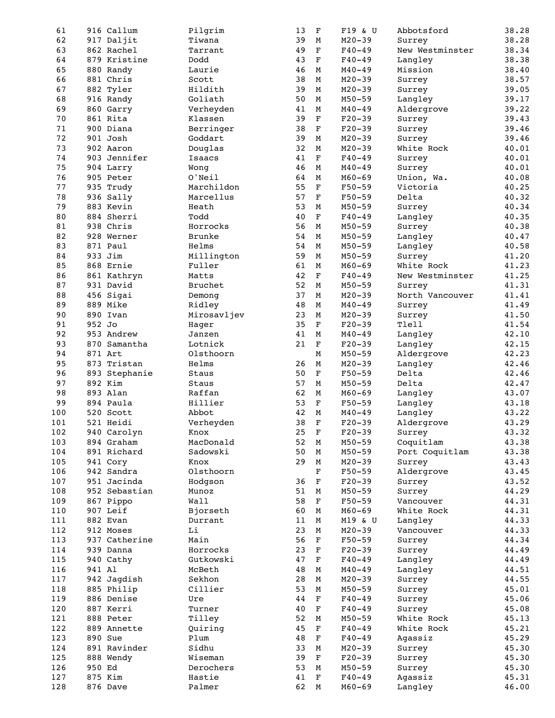| 61  | 916 Callum    | Pilgrim       | 13 | $\mathbf F$  | F19 & U    | Abbotsford      | 38.28 |
|-----|---------------|---------------|----|--------------|------------|-----------------|-------|
| 62  | 917 Daljit    | Tiwana        | 39 | M            | $M20 - 39$ | Surrey          | 38.28 |
| 63  | 862 Rachel    | Tarrant       | 49 | $\mathbf F$  | $F40 - 49$ | New Westminster | 38.34 |
| 64  | 879 Kristine  | Dodd          | 43 | $\mathbf F$  | $F40 - 49$ | Langley         | 38.38 |
| 65  | 880 Randy     | Laurie        | 46 | М            | $M40 - 49$ | Mission         | 38.40 |
|     |               |               |    |              |            |                 |       |
| 66  | 881 Chris     | Scott         | 38 | M            | $M20 - 39$ | Surrey          | 38.57 |
| 67  | 882 Tyler     | Hildith       | 39 | М            | $M20 - 39$ | Surrey          | 39.05 |
| 68  | 916 Randy     | Goliath       | 50 | М            | $M50 - 59$ | Langley         | 39.17 |
| 69  | 860 Garry     | Verheyden     | 41 | М            | $M40 - 49$ | Aldergrove      | 39.22 |
|     |               |               |    | $\mathbf F$  |            |                 |       |
| 70  | 861 Rita      | Klassen       | 39 |              | $F20-39$   | Surrey          | 39.43 |
| 71  | 900 Diana     | Berringer     | 38 | $\mathbf F$  | $F20-39$   | Surrey          | 39.46 |
| 72  | 901 Josh      | Goddart       | 39 | M            | $M20 - 39$ | Surrey          | 39.46 |
| 73  | 902 Aaron     | Douglas       | 32 | М            | $M20 - 39$ | White Rock      | 40.01 |
| 74  | 903 Jennifer  | Isaacs        | 41 | $\mathbf F$  | $F40 - 49$ | Surrey          | 40.01 |
|     |               |               |    |              |            |                 |       |
| 75  | 904 Larry     | Wong          | 46 | М            | $M40 - 49$ | Surrey          | 40.01 |
| 76  | 905 Peter     | O'Neil        | 64 | M            | $M60 - 69$ | Union, Wa.      | 40.08 |
| 77  | 935 Trudy     | Marchildon    | 55 | $\mathbf F$  | $F50 - 59$ | Victoria        | 40.25 |
| 78  | 936 Sally     | Marcellus     | 57 | $\mathbf F$  | $F50 - 59$ | Delta           | 40.32 |
| 79  | 883 Kevin     | Heath         | 53 | М            | $M50 - 59$ | Surrey          | 40.34 |
|     |               |               |    |              |            |                 |       |
| 80  | 884 Sherri    | Todd          | 40 | $\mathbf F$  | $F40 - 49$ | Langley         | 40.35 |
| 81  | 938 Chris     | Horrocks      | 56 | M            | $M50 - 59$ | Surrey          | 40.38 |
| 82  | 928 Werner    | <b>Brunke</b> | 54 | М            | $M50 - 59$ | Langley         | 40.47 |
| 83  | 871 Paul      | Helms         | 54 | М            | $M50 - 59$ | Langley         | 40.58 |
| 84  | 933 Jim       |               | 59 |              | $M50 - 59$ |                 |       |
|     |               | Millington    |    | М            |            | Surrey          | 41.20 |
| 85  | 868 Ernie     | Fuller        | 61 | М            | $M60 - 69$ | White Rock      | 41.23 |
| 86  | 861 Kathryn   | Matts         | 42 | $\mathbf F$  | $F40 - 49$ | New Westminster | 41.25 |
| 87  | 931 David     | Bruchet       | 52 | М            | $M50 - 59$ | Surrey          | 41.31 |
| 88  | 456 Sigai     | Demong        | 37 | М            | $M20 - 39$ | North Vancouver | 41.41 |
|     |               |               |    |              |            |                 |       |
| 89  | 889 Mike      | Ridley        | 48 | М            | $M40 - 49$ | Surrey          | 41.49 |
| 90  | 890 Ivan      | Mirosavljev   | 23 | M            | $M20 - 39$ | Surrey          | 41.50 |
| 91  | 952 Jo        | Hager         | 35 | $\mathbf F$  | $F20-39$   | Tlell           | 41.54 |
| 92  | 953 Andrew    | Janzen        | 41 | M            | $M40 - 49$ | Langley         | 42.10 |
| 93  | 870 Samantha  | Lotnick       | 21 | $\mathbf F$  |            |                 | 42.15 |
|     |               |               |    |              | $F20-39$   | Langley         |       |
| 94  | 871 Art       | Olsthoorn     |    | M            | $M50 - 59$ | Aldergrove      | 42.23 |
| 95  | 873 Tristan   | Helms         | 26 | М            | $M20 - 39$ | Langley         | 42.46 |
| 96  | 893 Stephanie | Staus         | 50 | $\mathbf F$  | $F50 - 59$ | Delta           | 42.46 |
| 97  | 892 Kim       | Staus         | 57 | М            | $M50 - 59$ | Delta           | 42.47 |
| 98  | 893 Alan      | Raffan        | 62 |              |            |                 |       |
|     |               |               |    | М            | $M60 - 69$ | Langley         | 43.07 |
| 99  | 894 Paula     | Hillier       | 53 | $\mathbf F$  | $F50 - 59$ | Langley         | 43.18 |
| 100 | 520 Scott     | Abbot         | 42 | M            | $M40 - 49$ | Langley         | 43.22 |
| 101 | 521 Heidi     | Verheyden     | 38 | $\mathbf F$  | $F20-39$   | Aldergrove      | 43.29 |
| 102 | 940 Carolyn   | Knox          | 25 | $\mathbf F$  | $F20 - 39$ | Surrey          | 43.32 |
|     |               |               |    |              |            |                 |       |
| 103 | 894 Graham    | MacDonald     | 52 | M            | $M50 - 59$ | Coquitlam       | 43.38 |
| 104 | 891 Richard   | Sadowski      | 50 | М            | $M50 - 59$ | Port Coquitlam  | 43.38 |
| 105 | 941 Cory      | Knox          | 29 | М            | $M20 - 39$ | Surrey          | 43.43 |
| 106 | 942 Sandra    | Olsthoorn     |    | $\mathbf F$  | $F50 - 59$ | Aldergrove      | 43.45 |
| 107 | 951 Jacinda   | Hodgson       | 36 | $\mathbf F$  | $F20-39$   | Surrey          | 43.52 |
|     |               |               |    |              |            |                 |       |
| 108 | 952 Sebastian | Munoz         | 51 | M            | $M50 - 59$ | Surrey          | 44.29 |
| 109 | 867 Pippo     | Wall          | 58 | F            | $F50 - 59$ | Vancouver       | 44.31 |
| 110 | 907 Leif      | Bjorseth      | 60 | М            | $M60 - 69$ | White Rock      | 44.31 |
| 111 | 882 Evan      | Durrant       | 11 | М            | M19 & U    | Langley         | 44.33 |
|     |               |               |    |              |            |                 |       |
| 112 | 912 Moses     | Li            | 23 | М            | $M20 - 39$ | Vancouver       | 44.33 |
| 113 | 937 Catherine | Main          | 56 | F            | $F50 - 59$ | Surrey          | 44.34 |
| 114 | 939 Danna     | Horrocks      | 23 | F            | $F20-39$   | Surrey          | 44.49 |
| 115 | 940 Cathy     | Gutkowski     | 47 | F            | $F40 - 49$ | Langley         | 44.49 |
| 116 | 941 Al        | McBeth        | 48 | М            | $M40 - 49$ | Langley         | 44.51 |
|     |               |               |    |              |            |                 |       |
| 117 | 942 Jagdish   | Sekhon        | 28 | М            | $M20 - 39$ | Surrey          | 44.55 |
| 118 | 885 Philip    | Cillier       | 53 | M            | $M50 - 59$ | Surrey          | 45.01 |
| 119 | 886 Denise    | Ure           | 44 | F            | $F40 - 49$ | Surrey          | 45.06 |
| 120 | 887 Kerri     | Turner        | 40 | $\mathbf{F}$ | $F40 - 49$ | Surrey          | 45.08 |
|     |               | Tilley        |    |              |            |                 |       |
| 121 | 888 Peter     |               | 52 | M            | $M50 - 59$ | White Rock      | 45.13 |
| 122 | 889 Annette   | Quiring       | 45 | $\mathbf F$  | $F40 - 49$ | White Rock      | 45.21 |
| 123 | 890 Sue       | Plum          | 48 | F            | $F40 - 49$ | Agassiz         | 45.29 |
| 124 | 891 Ravinder  | Sidhu         | 33 | М            | $M20 - 39$ | Surrey          | 45.30 |
| 125 | 888 Wendy     | Wiseman       | 39 | F            | $F20-39$   | Surrey          | 45.30 |
| 126 |               |               |    |              |            |                 |       |
|     | 950 Ed        | Derochers     | 53 | М            | $M50 - 59$ | Surrey          | 45.30 |
| 127 | 875 Kim       | Hastie        | 41 | $\mathbf F$  | $F40 - 49$ | Agassiz         | 45.31 |
| 128 | 876 Dave      | Palmer        | 62 | М            | $M60 - 69$ | Langley         | 46.00 |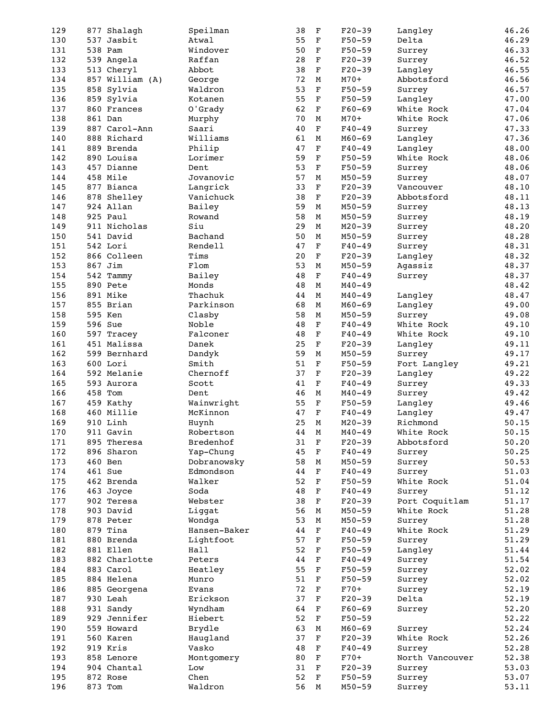| 129 | 877 Shalagh     | Speilman     | 38 | $\mathbf F$ | $F20-39$   | Langley         | 46.26 |
|-----|-----------------|--------------|----|-------------|------------|-----------------|-------|
| 130 | 537 Jasbit      | Atwal        | 55 | $\mathbf F$ | $F50 - 59$ | Delta           | 46.29 |
| 131 | 538 Pam         | Windover     | 50 | F           | $F50 - 59$ | Surrey          | 46.33 |
| 132 | 539 Angela      | Raffan       | 28 | $\mathbf F$ | $F20-39$   | Surrey          | 46.52 |
| 133 | 513 Cheryl      | Abbot        | 38 | $\mathbf F$ | $F20-39$   | Langley         | 46.55 |
|     |                 |              |    |             |            |                 |       |
| 134 | 857 William (A) | George       | 72 | M           | $M70+$     | Abbotsford      | 46.56 |
| 135 | 858 Sylvia      | Waldron      | 53 | $\mathbf F$ | $F50 - 59$ | Surrey          | 46.57 |
| 136 | 859 Sylvia      | Kotanen      | 55 | F           | $F50 - 59$ | Langley         | 47.00 |
| 137 | 860 Frances     | 0'Grady      | 62 | $\mathbf F$ | $F60-69$   | White Rock      | 47.04 |
|     |                 |              |    |             |            |                 |       |
| 138 | 861 Dan         | Murphy       | 70 | M           | $M70+$     | White Rock      | 47.06 |
| 139 | 887 Carol-Ann   | Saari        | 40 | $\mathbf F$ | $F40 - 49$ | Surrey          | 47.33 |
| 140 | 888 Richard     | Williams     | 61 | М           | $M60 - 69$ | Langley         | 47.36 |
| 141 | 889 Brenda      | Philip       | 47 | $\mathbf F$ | $F40 - 49$ | Langley         | 48.00 |
|     |                 |              |    |             |            |                 |       |
| 142 | 890 Louisa      | Lorimer      | 59 | $\mathbf F$ | $F50 - 59$ | White Rock      | 48.06 |
| 143 | 457 Dianne      | Dent         | 53 | $\mathbf F$ | $F50 - 59$ | Surrey          | 48.06 |
| 144 | 458 Mile        | Jovanovic    | 57 | М           | $M50 - 59$ | Surrey          | 48.07 |
| 145 | 877 Bianca      | Langrick     | 33 | $\mathbf F$ | $F20-39$   | Vancouver       | 48.10 |
|     |                 | Vanichuck    | 38 |             | $F20-39$   |                 |       |
| 146 | 878 Shelley     |              |    | F           |            | Abbotsford      | 48.11 |
| 147 | 924 Allan       | Bailey       | 59 | М           | $M50 - 59$ | Surrey          | 48.13 |
| 148 | 925 Paul        | Rowand       | 58 | М           | $M50 - 59$ | Surrey          | 48.19 |
| 149 | 911 Nicholas    | Siu          | 29 | M           | $M20 - 39$ | Surrey          | 48.20 |
| 150 | 541 David       | Bachand      | 50 | М           | $M50 - 59$ |                 | 48.28 |
|     |                 |              |    |             |            | Surrey          |       |
| 151 | 542 Lori        | Rendell      | 47 | $\mathbf F$ | $F40 - 49$ | Surrey          | 48.31 |
| 152 | 866 Colleen     | Tims         | 20 | $\mathbf F$ | $F20-39$   | Langley         | 48.32 |
| 153 | 867 Jim         | Flom         | 53 | М           | $M50 - 59$ | Agassiz         | 48.37 |
| 154 | 542 Tammy       | Bailey       | 48 | $\mathbf F$ | $F40 - 49$ | Surrey          | 48.37 |
|     |                 |              |    |             |            |                 |       |
| 155 | 890 Pete        | Monds        | 48 | М           | $M40 - 49$ |                 | 48.42 |
| 156 | 891 Mike        | Thachuk      | 44 | М           | $M40 - 49$ | Langley         | 48.47 |
| 157 | 855 Brian       | Parkinson    | 68 | М           | $M60 - 69$ | Langley         | 49.00 |
| 158 |                 |              |    |             |            |                 |       |
|     | 595 Ken         | Clasby       | 58 | М           | $M50 - 59$ | Surrey          | 49.08 |
| 159 | 596 Sue         | Noble        | 48 | $\mathbf F$ | $F40 - 49$ | White Rock      | 49.10 |
| 160 | 597 Tracey      | Falconer     | 48 | $\mathbf F$ | $F40 - 49$ | White Rock      | 49.10 |
| 161 | 451 Malissa     | Danek        | 25 | $\mathbf F$ | $F20-39$   | Langley         | 49.11 |
| 162 | 599 Bernhard    | Dandyk       | 59 | М           | $M50 - 59$ | Surrey          | 49.17 |
|     |                 |              |    |             |            |                 |       |
| 163 | 600 Lori        | Smith        | 51 | $\mathbf F$ | $F50 - 59$ | Fort Langley    | 49.21 |
| 164 | 592 Melanie     | Chernoff     | 37 | $\mathbf F$ | $F20-39$   | Langley         | 49.22 |
| 165 | 593 Aurora      | Scott        | 41 | $\mathbf F$ | $F40 - 49$ | Surrey          | 49.33 |
| 166 | 458 Tom         | Dent         | 46 | М           | $M40 - 49$ | Surrey          | 49.42 |
|     |                 |              |    |             |            |                 |       |
| 167 | 459 Kathy       | Wainwright   | 55 | $\mathbf F$ | $F50 - 59$ | Langley         | 49.46 |
| 168 | 460 Millie      | McKinnon     | 47 | $\mathbf F$ | $F40 - 49$ | Langley         | 49.47 |
| 169 | 910 Linh        | Huynh        | 25 | $\mathbf M$ | $M20 - 39$ | Richmond        | 50.15 |
| 170 | 911 Gavin       | Robertson    | 44 | $\mathbf M$ | $M40 - 49$ | White Rock      | 50.15 |
|     |                 |              |    |             |            |                 |       |
| 171 | 895 Theresa     | Bredenhof    | 31 | F           | $F20-39$   | Abbotsford      | 50.20 |
| 172 | 896 Sharon      | Yap-Chung    | 45 | F           | $F40 - 49$ | Surrey          | 50.25 |
| 173 | 460 Ben         | Dobranowsky  | 58 | М           | $M50 - 59$ | Surrey          | 50.53 |
| 174 | 461 Sue         | Edmondson    | 44 | $\mathbf F$ | $F40 - 49$ | Surrey          | 51.03 |
|     |                 |              |    |             |            |                 |       |
| 175 | 462 Brenda      | Walker       | 52 | $\mathbf F$ | $F50 - 59$ | White Rock      | 51.04 |
| 176 | 463 Joyce       | Soda         | 48 | F           | $F40 - 49$ | Surrey          | 51.12 |
| 177 | 902 Teresa      | Webster      | 38 | F           | $F20-39$   | Port Coquitlam  | 51.17 |
| 178 | 903 David       | Liggat       | 56 | М           | $M50 - 59$ | White Rock      | 51.28 |
|     |                 |              | 53 |             |            |                 |       |
| 179 | 878 Peter       | Wondga       |    | М           | $M50 - 59$ | Surrey          | 51.28 |
| 180 | 879 Tina        | Hansen-Baker | 44 | F           | $F40 - 49$ | White Rock      | 51.29 |
| 181 | 880 Brenda      | Lightfoot    | 57 | F           | $F50 - 59$ | Surrey          | 51.29 |
| 182 | 881 Ellen       | Hall         | 52 | F           | $F50 - 59$ | Langley         | 51.44 |
|     |                 |              |    |             |            |                 |       |
| 183 | 882 Charlotte   | Peters       | 44 | F           | $F40 - 49$ | Surrey          | 51.54 |
| 184 | 883 Carol       | Heatley      | 55 | $\mathbf F$ | $F50-59$   | Surrey          | 52.02 |
| 185 | 884 Helena      | Munro        | 51 | $\mathbf F$ | $F50 - 59$ | Surrey          | 52.02 |
| 186 | 885 Georgena    | Evans        | 72 | $\mathbf F$ | $F70+$     | Surrey          | 52.19 |
|     |                 |              |    |             |            |                 |       |
| 187 | 930 Leah        | Erickson     | 37 | F           | $F20-39$   | Delta           | 52.19 |
| 188 | 931 Sandy       | Wyndham      | 64 | F           | $F60-69$   | Surrey          | 52.20 |
| 189 | 929 Jennifer    | Hiebert      | 52 | $\mathbf F$ | $F50-59$   |                 | 52.22 |
| 190 | 559 Howard      | Brydle       | 63 | М           | $M60 - 69$ | Surrey          | 52.24 |
|     |                 |              |    |             |            |                 |       |
| 191 | 560 Karen       | Haugland     | 37 | F           | $F20-39$   | White Rock      | 52.26 |
| 192 | 919 Kris        | Vasko        | 48 | F           | $F40 - 49$ | Surrey          | 52.28 |
| 193 | 858 Lenore      | Montgomery   | 80 | F           | $F70+$     | North Vancouver | 52.38 |
| 194 | 904 Chantal     | Low          | 31 | $\mathbf F$ | $F20-39$   | Surrey          | 53.03 |
|     |                 |              |    |             |            |                 |       |
| 195 | 872 Rose        | Chen         | 52 | $\mathbf F$ | $F50 - 59$ | Surrey          | 53.07 |
| 196 | 873 Tom         | Waldron      | 56 | M           | $M50 - 59$ | Surrey          | 53.11 |